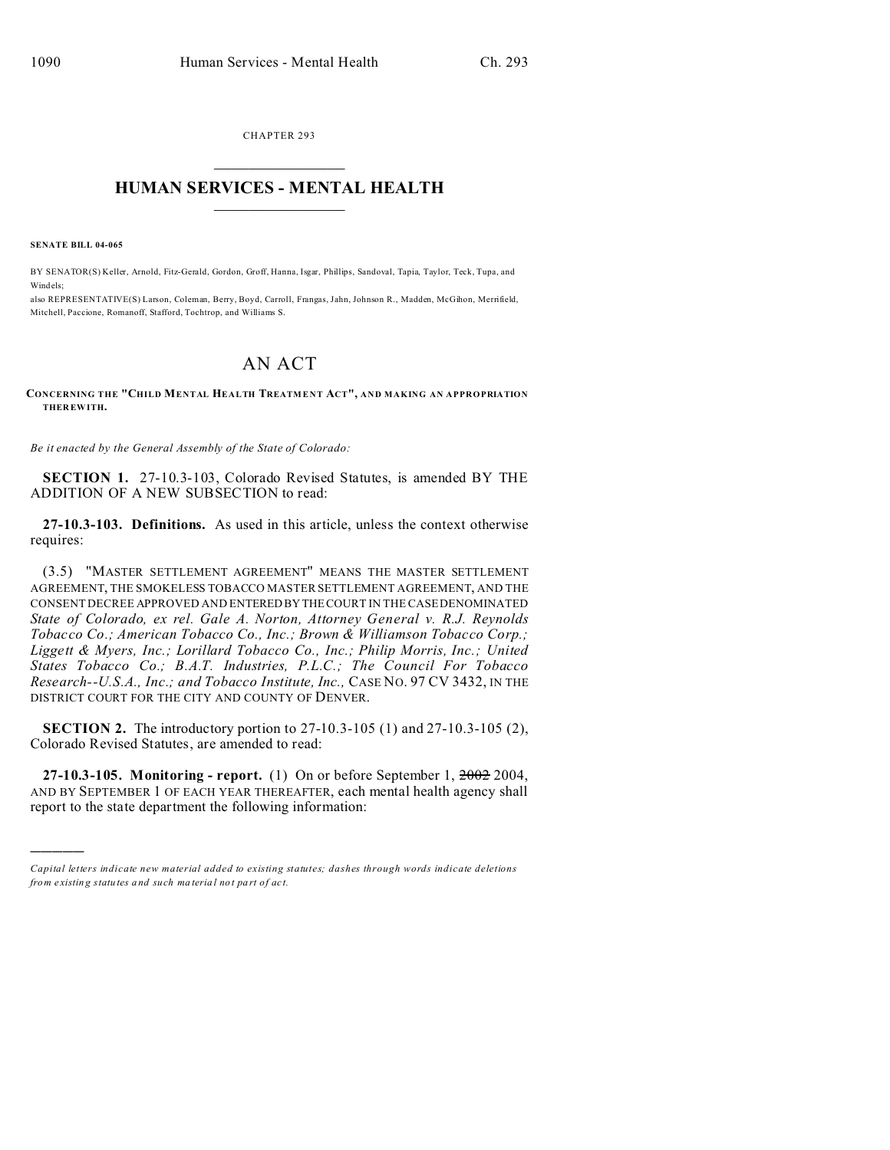CHAPTER 293  $\overline{\phantom{a}}$  , where  $\overline{\phantom{a}}$ 

## **HUMAN SERVICES - MENTAL HEALTH**  $\_$   $\_$   $\_$   $\_$   $\_$   $\_$   $\_$   $\_$   $\_$

**SENATE BILL 04-065**

)))))

BY SENATOR(S) Keller, Arnold, Fitz-Gerald, Gordon, Groff, Hanna, Isgar, Phillips, Sandoval, Tapia, Taylor, Teck, Tupa, and Windels;

also REPRESENTATIVE(S) Larson, Coleman, Berry, Boyd, Carroll, Frangas, Jahn, Johnson R., Madden, McGihon, Merrifield, Mitchell, Paccione, Romanoff, Stafford, Tochtrop, and Williams S.

## AN ACT

## **CONCERNING THE "CHILD MENTAL HEALTH TREATM E NT ACT", AND MAKING AN APPROPRIATION THER EWITH.**

*Be it enacted by the General Assembly of the State of Colorado:*

**SECTION 1.** 27-10.3-103, Colorado Revised Statutes, is amended BY THE ADDITION OF A NEW SUBSECTION to read:

**27-10.3-103. Definitions.** As used in this article, unless the context otherwise requires:

(3.5) "MASTER SETTLEMENT AGREEMENT" MEANS THE MASTER SETTLEMENT AGREEMENT, THE SMOKELESS TOBACCO MASTER SETTLEMENT AGREEMENT, AND THE CONSENT DECREE APPROVED AND ENTERED BY THE COURT IN THE CASE DENOMINATED *State of Colorado, ex rel. Gale A. Norton, Attorney General v. R.J. Reynolds Tobacco Co.; American Tobacco Co., Inc.; Brown & Williamson Tobacco Corp.; Liggett & Myers, Inc.; Lorillard Tobacco Co., Inc.; Philip Morris, Inc.; United States Tobacco Co.; B.A.T. Industries, P.L.C.; The Council For Tobacco Research--U.S.A., Inc.; and Tobacco Institute, Inc.,* CASE NO. 97 CV 3432, IN THE DISTRICT COURT FOR THE CITY AND COUNTY OF DENVER.

**SECTION 2.** The introductory portion to 27-10.3-105 (1) and 27-10.3-105 (2), Colorado Revised Statutes, are amended to read:

**27-10.3-105. Monitoring - report.** (1) On or before September 1, 2002 2004, AND BY SEPTEMBER 1 OF EACH YEAR THEREAFTER, each mental health agency shall report to the state department the following information:

*Capital letters indicate new material added to existing statutes; dashes through words indicate deletions from e xistin g statu tes a nd such ma teria l no t pa rt of ac t.*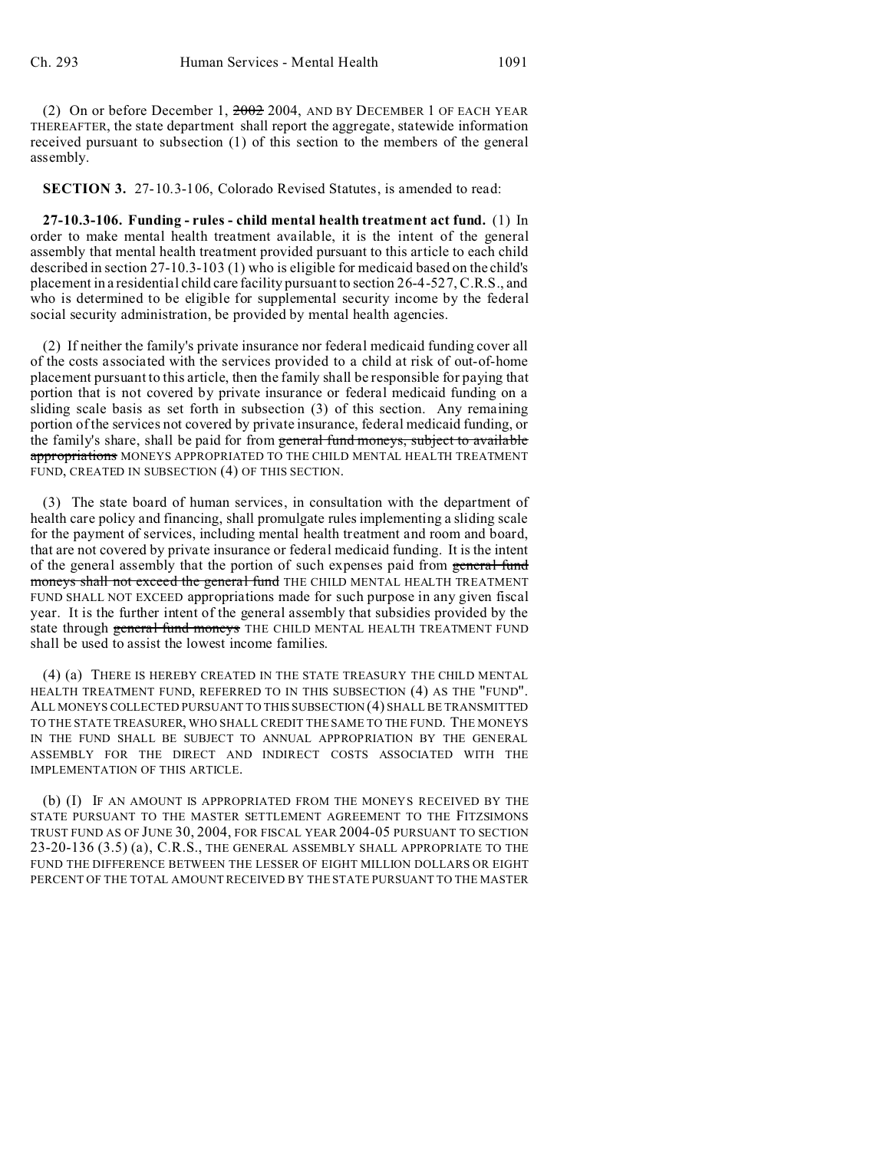(2) On or before December 1, 2002 2004, AND BY DECEMBER 1 OF EACH YEAR THEREAFTER, the state department shall report the aggregate, statewide information received pursuant to subsection (1) of this section to the members of the general assembly.

**SECTION 3.** 27-10.3-106, Colorado Revised Statutes, is amended to read:

**27-10.3-106. Funding - rules - child mental health treatment act fund.** (1) In order to make mental health treatment available, it is the intent of the general assembly that mental health treatment provided pursuant to this article to each child described in section 27-10.3-103 (1) who is eligible for medicaid based on the child's placement in a residential child care facility pursuant to section 26-4-527, C.R.S., and who is determined to be eligible for supplemental security income by the federal social security administration, be provided by mental health agencies.

(2) If neither the family's private insurance nor federal medicaid funding cover all of the costs associated with the services provided to a child at risk of out-of-home placement pursuant to this article, then the family shall be responsible for paying that portion that is not covered by private insurance or federal medicaid funding on a sliding scale basis as set forth in subsection (3) of this section. Any remaining portion of the services not covered by private insurance, federal medicaid funding, or the family's share, shall be paid for from general fund moneys, subject to available appropriations MONEYS APPROPRIATED TO THE CHILD MENTAL HEALTH TREATMENT FUND, CREATED IN SUBSECTION (4) OF THIS SECTION.

(3) The state board of human services, in consultation with the department of health care policy and financing, shall promulgate rules implementing a sliding scale for the payment of services, including mental health treatment and room and board, that are not covered by private insurance or federal medicaid funding. It is the intent of the general assembly that the portion of such expenses paid from general fund moneys shall not exceed the general fund THE CHILD MENTAL HEALTH TREATMENT FUND SHALL NOT EXCEED appropriations made for such purpose in any given fiscal year. It is the further intent of the general assembly that subsidies provided by the state through general fund moneys THE CHILD MENTAL HEALTH TREATMENT FUND shall be used to assist the lowest income families.

(4) (a) THERE IS HEREBY CREATED IN THE STATE TREASURY THE CHILD MENTAL HEALTH TREATMENT FUND, REFERRED TO IN THIS SUBSECTION (4) AS THE "FUND". ALL MONEYS COLLECTED PURSUANT TO THIS SUBSECTION (4) SHALL BE TRANSMITTED TO THE STATE TREASURER, WHO SHALL CREDIT THE SAME TO THE FUND. THE MONEYS IN THE FUND SHALL BE SUBJECT TO ANNUAL APPROPRIATION BY THE GENERAL ASSEMBLY FOR THE DIRECT AND INDIRECT COSTS ASSOCIATED WITH THE IMPLEMENTATION OF THIS ARTICLE.

(b) (I) IF AN AMOUNT IS APPROPRIATED FROM THE MONEYS RECEIVED BY THE STATE PURSUANT TO THE MASTER SETTLEMENT AGREEMENT TO THE FITZSIMONS TRUST FUND AS OF JUNE 30, 2004, FOR FISCAL YEAR 2004-05 PURSUANT TO SECTION 23-20-136 (3.5) (a), C.R.S., THE GENERAL ASSEMBLY SHALL APPROPRIATE TO THE FUND THE DIFFERENCE BETWEEN THE LESSER OF EIGHT MILLION DOLLARS OR EIGHT PERCENT OF THE TOTAL AMOUNT RECEIVED BY THE STATE PURSUANT TO THE MASTER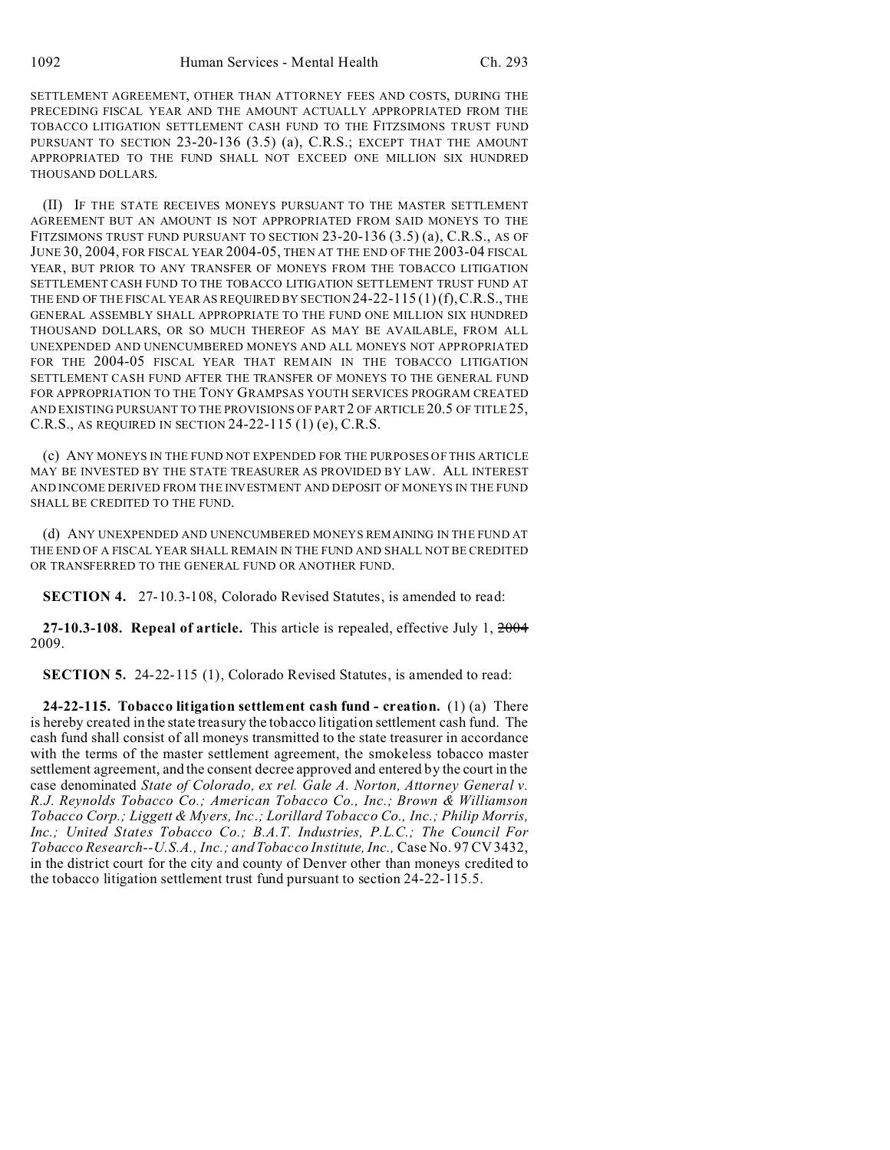SETTLEMENT AGREEMENT, OTHER THAN ATTORNEY FEES AND COSTS, DURING THE PRECEDING FISCAL YEAR AND THE AMOUNT ACTUALLY APPROPRIATED FROM THE TOBACCO LITIGATION SETTLEMENT CASH FUND TO THE FITZSIMONS TRUST FUND PURSUANT TO SECTION 23-20-136 (3.5) (a), C.R.S.; EXCEPT THAT THE AMOUNT APPROPRIATED TO THE FUND SHALL NOT EXCEED ONE MILLION SIX HUNDRED THOUSAND DOLLARS.

(II) IF THE STATE RECEIVES MONEYS PURSUANT TO THE MASTER SETTLEMENT AGREEMENT BUT AN AMOUNT IS NOT APPROPRIATED FROM SAID MONEYS TO THE FITZSIMONS TRUST FUND PURSUANT TO SECTION 23-20-136 (3.5) (a), C.R.S., AS OF JUNE 30, 2004, FOR FISCAL YEAR 2004-05, THEN AT THE END OF THE 2003-04 FISCAL YEAR, BUT PRIOR TO ANY TRANSFER OF MONEYS FROM THE TOBACCO LITIGATION SETTLEMENT CASH FUND TO THE TOBACCO LITIGATION SETTLEMENT TRUST FUND AT THE END OF THE FISCAL YEAR AS REQUIRED BY SECTION 24-22-115 (1)(f),C.R.S., THE GENERAL ASSEMBLY SHALL APPROPRIATE TO THE FUND ONE MILLION SIX HUNDRED THOUSAND DOLLARS, OR SO MUCH THEREOF AS MAY BE AVAILABLE, FROM ALL UNEXPENDED AND UNENCUMBERED MONEYS AND ALL MONEYS NOT APPROPRIATED FOR THE 2004-05 FISCAL YEAR THAT REMAIN IN THE TOBACCO LITIGATION SETTLEMENT CASH FUND AFTER THE TRANSFER OF MONEYS TO THE GENERAL FUND FOR APPROPRIATION TO THE TONY GRAMPSAS YOUTH SERVICES PROGRAM CREATED AND EXISTING PURSUANT TO THE PROVISIONS OF PART 2 OF ARTICLE 20.5 OF TITLE 25, C.R.S., AS REQUIRED IN SECTION 24-22-115 (1) (e), C.R.S.

(c) ANY MONEYS IN THE FUND NOT EXPENDED FOR THE PURPOSES OF THIS ARTICLE MAY BE INVESTED BY THE STATE TREASURER AS PROVIDED BY LAW. ALL INTEREST AND INCOME DERIVED FROM THE INVESTMENT AND DEPOSIT OF MONEYS IN THE FUND SHALL BE CREDITED TO THE FUND.

(d) ANY UNEXPENDED AND UNENCUMBERED MONEYS REMAINING IN THE FUND AT THE END OF A FISCAL YEAR SHALL REMAIN IN THE FUND AND SHALL NOT BE CREDITED OR TRANSFERRED TO THE GENERAL FUND OR ANOTHER FUND.

**SECTION 4.** 27-10.3-108, Colorado Revised Statutes, is amended to read:

**27-10.3-108. Repeal of article.** This article is repealed, effective July 1, 2004 2009.

**SECTION 5.** 24-22-115 (1), Colorado Revised Statutes, is amended to read:

**24-22-115. Tobacco litigation settlement cash fund - creation.** (1) (a) There is hereby created in the state treasury the tobacco litigation settlement cash fund. The cash fund shall consist of all moneys transmitted to the state treasurer in accordance with the terms of the master settlement agreement, the smokeless tobacco master settlement agreement, and the consent decree approved and entered by the court in the case denominated *State of Colorado, ex rel. Gale A. Norton, Attorney General v. R.J. Reynolds Tobacco Co.; American Tobacco Co., Inc.; Brown & Williamson Tobacco Corp.; Liggett & Myers, Inc.; Lorillard Tobacco Co., Inc.; Philip Morris, Inc.; United States Tobacco Co.; B.A.T. Industries, P.L.C.; The Council For Tobacco Research--U.S.A., Inc.; and Tobacco Institute, Inc.,* Case No. 97 CV 3432, in the district court for the city and county of Denver other than moneys credited to the tobacco litigation settlement trust fund pursuant to section 24-22-115.5.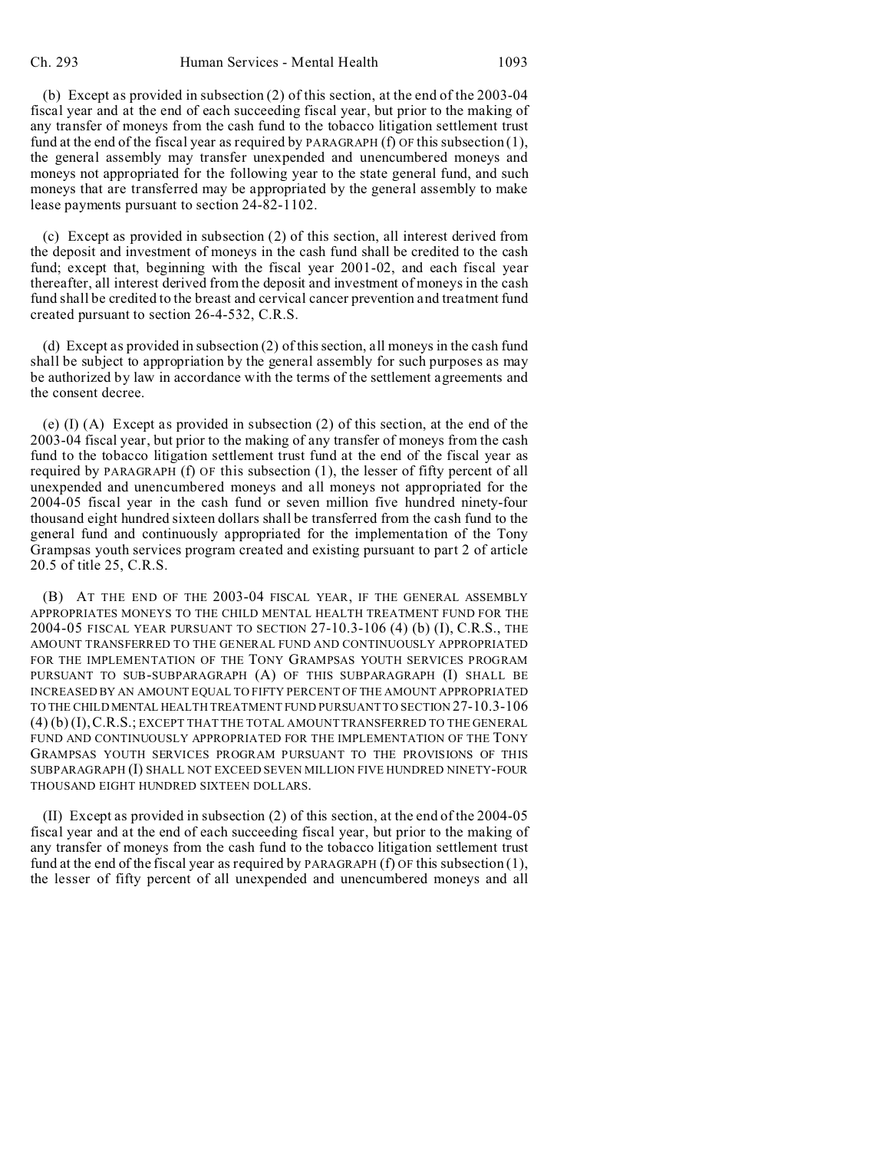(b) Except as provided in subsection (2) of this section, at the end of the 2003-04 fiscal year and at the end of each succeeding fiscal year, but prior to the making of any transfer of moneys from the cash fund to the tobacco litigation settlement trust fund at the end of the fiscal year as required by PARAGRAPH (f) OF this subsection (1), the general assembly may transfer unexpended and unencumbered moneys and moneys not appropriated for the following year to the state general fund, and such moneys that are transferred may be appropriated by the general assembly to make lease payments pursuant to section 24-82-1102.

(c) Except as provided in subsection (2) of this section, all interest derived from the deposit and investment of moneys in the cash fund shall be credited to the cash fund; except that, beginning with the fiscal year 2001-02, and each fiscal year thereafter, all interest derived from the deposit and investment of moneys in the cash fund shall be credited to the breast and cervical cancer prevention and treatment fund created pursuant to section 26-4-532, C.R.S.

(d) Except as provided in subsection (2) of this section, all moneys in the cash fund shall be subject to appropriation by the general assembly for such purposes as may be authorized by law in accordance with the terms of the settlement agreements and the consent decree.

(e) (I) (A) Except as provided in subsection (2) of this section, at the end of the 2003-04 fiscal year, but prior to the making of any transfer of moneys from the cash fund to the tobacco litigation settlement trust fund at the end of the fiscal year as required by PARAGRAPH (f) OF this subsection (1), the lesser of fifty percent of all unexpended and unencumbered moneys and all moneys not appropriated for the 2004-05 fiscal year in the cash fund or seven million five hundred ninety-four thousand eight hundred sixteen dollars shall be transferred from the cash fund to the general fund and continuously appropriated for the implementation of the Tony Grampsas youth services program created and existing pursuant to part 2 of article 20.5 of title 25, C.R.S.

(B) AT THE END OF THE 2003-04 FISCAL YEAR, IF THE GENERAL ASSEMBLY APPROPRIATES MONEYS TO THE CHILD MENTAL HEALTH TREATMENT FUND FOR THE 2004-05 FISCAL YEAR PURSUANT TO SECTION 27-10.3-106 (4) (b) (I), C.R.S., THE AMOUNT TRANSFERRED TO THE GENERAL FUND AND CONTINUOUSLY APPROPRIATED FOR THE IMPLEMENTATION OF THE TONY GRAMPSAS YOUTH SERVICES PROGRAM PURSUANT TO SUB-SUBPARAGRAPH (A) OF THIS SUBPARAGRAPH (I) SHALL BE INCREASED BY AN AMOUNT EQUAL TO FIFTY PERCENT OF THE AMOUNT APPROPRIATED TO THE CHILD MENTAL HEALTH TREATMENT FUND PURSUANT TO SECTION 27-10.3-106 (4) (b) (I),C.R.S.; EXCEPT THAT THE TOTAL AMOUNT TRANSFERRED TO THE GENERAL FUND AND CONTINUOUSLY APPROPRIATED FOR THE IMPLEMENTATION OF THE TONY GRAMPSAS YOUTH SERVICES PROGRAM PURSUANT TO THE PROVISIONS OF THIS SUBPARAGRAPH (I) SHALL NOT EXCEED SEVEN MILLION FIVE HUNDRED NINETY-FOUR THOUSAND EIGHT HUNDRED SIXTEEN DOLLARS.

(II) Except as provided in subsection (2) of this section, at the end of the 2004-05 fiscal year and at the end of each succeeding fiscal year, but prior to the making of any transfer of moneys from the cash fund to the tobacco litigation settlement trust fund at the end of the fiscal year as required by PARAGRAPH (f) OF this subsection (1), the lesser of fifty percent of all unexpended and unencumbered moneys and all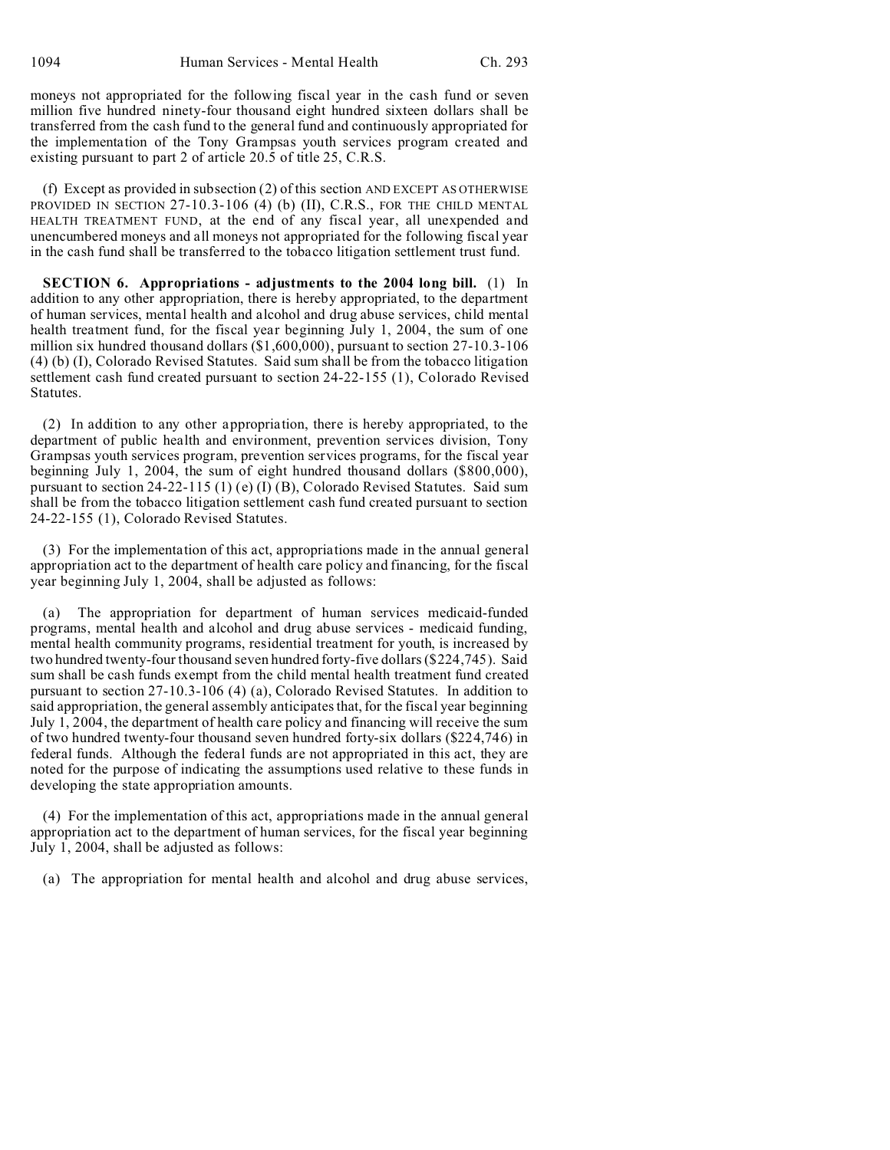moneys not appropriated for the following fiscal year in the cash fund or seven million five hundred ninety-four thousand eight hundred sixteen dollars shall be transferred from the cash fund to the general fund and continuously appropriated for the implementation of the Tony Grampsas youth services program created and existing pursuant to part 2 of article 20.5 of title 25, C.R.S.

(f) Except as provided in subsection (2) of this section AND EXCEPT AS OTHERWISE PROVIDED IN SECTION 27-10.3-106 (4) (b) (II), C.R.S., FOR THE CHILD MENTAL HEALTH TREATMENT FUND, at the end of any fiscal year, all unexpended and unencumbered moneys and all moneys not appropriated for the following fiscal year in the cash fund shall be transferred to the tobacco litigation settlement trust fund.

**SECTION 6. Appropriations - adjustments to the 2004 long bill.** (1) In addition to any other appropriation, there is hereby appropriated, to the department of human services, mental health and alcohol and drug abuse services, child mental health treatment fund, for the fiscal year beginning July 1, 2004, the sum of one million six hundred thousand dollars (\$1,600,000), pursuant to section 27-10.3-106 (4) (b) (I), Colorado Revised Statutes. Said sum shall be from the tobacco litigation settlement cash fund created pursuant to section 24-22-155 (1), Colorado Revised Statutes.

(2) In addition to any other appropriation, there is hereby appropriated, to the department of public health and environment, prevention services division, Tony Grampsas youth services program, prevention services programs, for the fiscal year beginning July 1, 2004, the sum of eight hundred thousand dollars (\$800,000), pursuant to section 24-22-115 (1) (e) (I) (B), Colorado Revised Statutes. Said sum shall be from the tobacco litigation settlement cash fund created pursuant to section 24-22-155 (1), Colorado Revised Statutes.

(3) For the implementation of this act, appropriations made in the annual general appropriation act to the department of health care policy and financing, for the fiscal year beginning July 1, 2004, shall be adjusted as follows:

The appropriation for department of human services medicaid-funded programs, mental health and alcohol and drug abuse services - medicaid funding, mental health community programs, residential treatment for youth, is increased by two hundred twenty-four thousand seven hundred forty-five dollars (\$224,745). Said sum shall be cash funds exempt from the child mental health treatment fund created pursuant to section 27-10.3-106 (4) (a), Colorado Revised Statutes. In addition to said appropriation, the general assembly anticipates that, for the fiscal year beginning July 1, 2004, the department of health care policy and financing will receive the sum of two hundred twenty-four thousand seven hundred forty-six dollars (\$224,746) in federal funds. Although the federal funds are not appropriated in this act, they are noted for the purpose of indicating the assumptions used relative to these funds in developing the state appropriation amounts.

(4) For the implementation of this act, appropriations made in the annual general appropriation act to the department of human services, for the fiscal year beginning July 1, 2004, shall be adjusted as follows:

(a) The appropriation for mental health and alcohol and drug abuse services,